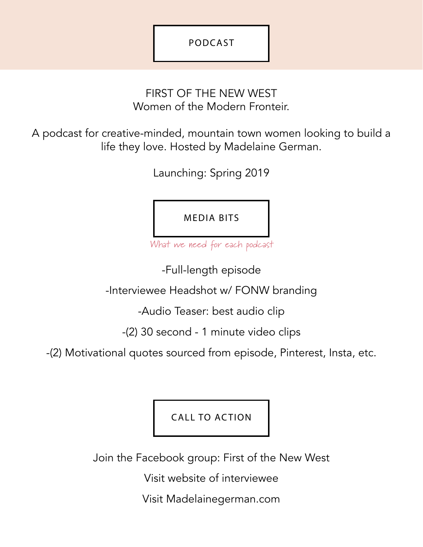## FIRST OF THE NEW WEST Women of the Modern Fronteir.

A podcast for creative-minded, mountain town women looking to build a life they love. Hosted by Madelaine German.

Launching: Spring 2019

MEDIA BITS

What we need for each podcast

-Full-length episode

-Interviewee Headshot w/ FONW branding

-Audio Teaser: best audio clip

-(2) 30 second - 1 minute video clips

-(2) Motivational quotes sourced from episode, Pinterest, Insta, etc.

CALL TO ACTION

Join the Facebook group: First of the New West

Visit website of interviewee

Visit Madelainegerman.com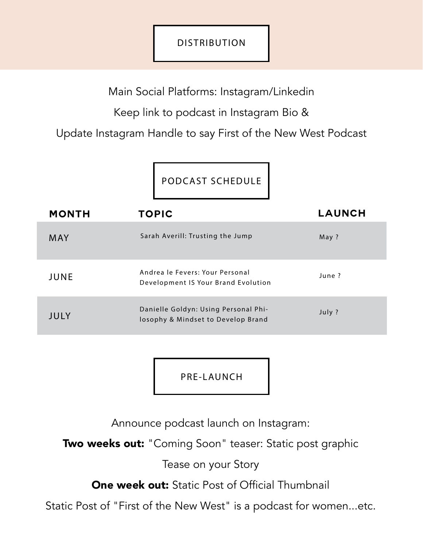## DISTRIBUTION

Main Social Platforms: Instagram/Linkedin

Keep link to podcast in Instagram Bio &

Update Instagram Handle to say First of the New West Podcast

PODCAST SCHEDULE

| <b>MONTH</b> | <b>TOPIC</b>                                                               | <b>LAUNCH</b> |
|--------------|----------------------------------------------------------------------------|---------------|
| <b>MAY</b>   | Sarah Averill: Trusting the Jump                                           | May ?         |
| JUNE         | Andrea le Fevers: Your Personal<br>Development IS Your Brand Evolution     | June?         |
| JULY         | Danielle Goldyn: Using Personal Phi-<br>losophy & Mindset to Develop Brand | July ?        |

PRE-LAUNCH

Announce podcast launch on Instagram:

Two weeks out: "Coming Soon" teaser: Static post graphic

Tease on your Story

One week out: Static Post of Official Thumbnail

Static Post of "First of the New West" is a podcast for women...etc.